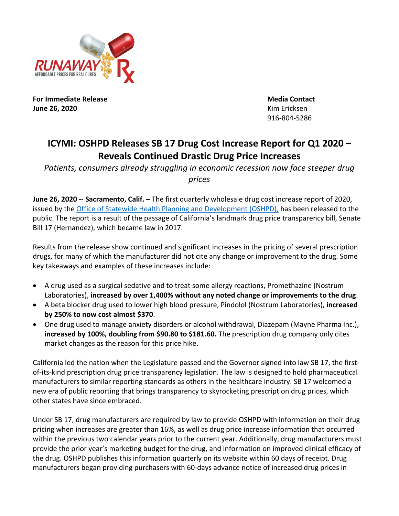

**For Immediate Release Media Contact June 26, 2020** Kim Ericksen

916-804-5286

## **ICYMI: OSHPD Releases SB 17 Drug Cost Increase Report for Q1 2020 – Reveals Continued Drastic Drug Price Increases**

Patients, consumers already struggling in economic recession now face steeper drug *prices*

**June 26, 2020 -- Sacramento, Calif. –** The first quarterly wholesale drug cost increase report of 2020, issued by the Office of Statewide Health Planning and Development (OSHPD), has been released to the public. The report is a result of the passage of California's landmark drug price transparency bill, Senate Bill 17 (Hernandez), which became law in 2017.

Results from the release show continued and significant increases in the pricing of several prescription drugs, for many of which the manufacturer did not cite any change or improvement to the drug. Some key takeaways and examples of these increases include:

- A drug used as a surgical sedative and to treat some allergy reactions, Promethazine (Nostrum Laboratories), **increased by over 1,400% without any noted change or improvements to the drug**.
- A beta blocker drug used to lower high blood pressure, Pindolol (Nostrum Laboratories), **increased by 250% to now cost almost \$370**.
- One drug used to manage anxiety disorders or alcohol withdrawal, Diazepam (Mayne Pharma Inc.), **increased by 100%, doubling from \$90.80 to \$181.60.** The prescription drug company only cites market changes as the reason for this price hike.

California led the nation when the Legislature passed and the Governor signed into law SB 17, the firstof-its-kind prescription drug price transparency legislation. The law is designed to hold pharmaceutical manufacturers to similar reporting standards as others in the healthcare industry. SB 17 welcomed a new era of public reporting that brings transparency to skyrocketing prescription drug prices, which other states have since embraced.

Under SB 17, drug manufacturers are required by law to provide OSHPD with information on their drug pricing when increases are greater than 16%, as well as drug price increase information that occurred within the previous two calendar years prior to the current year. Additionally, drug manufacturers must provide the prior year's marketing budget for the drug, and information on improved clinical efficacy of the drug. OSHPD publishes this information quarterly on its website within 60 days of receipt. Drug manufacturers began providing purchasers with 60-days advance notice of increased drug prices in